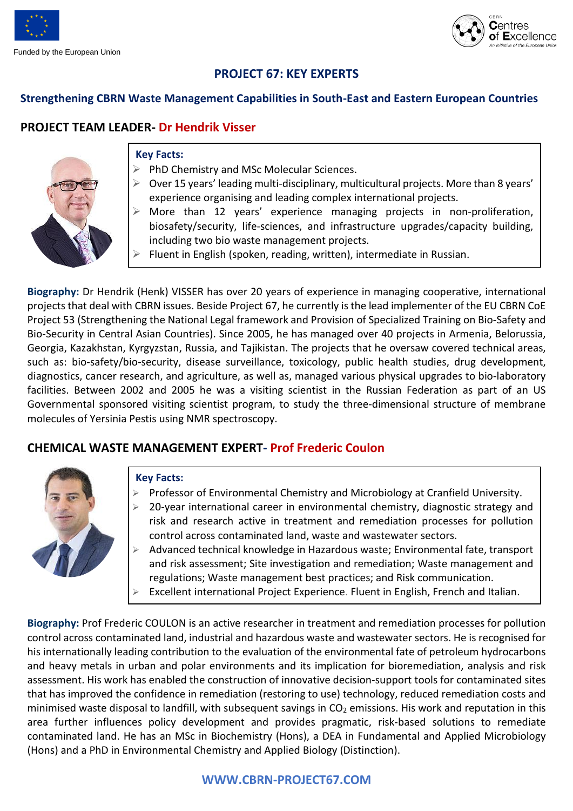



# **PROJECT 67: KEY EXPERTS**

### **Strengthening CBRN Waste Management Capabilities in South-East and Eastern European Countries**

# **PROJECT TEAM LEADER- Dr Hendrik Visser**



#### **Key Facts:**

- ➢ PhD Chemistry and MSc Molecular Sciences.
- $\triangleright$  Over 15 years' leading multi-disciplinary, multicultural projects. More than 8 years' experience organising and leading complex international projects.
- ➢ More than 12 years' experience managing projects in non-proliferation, biosafety/security, life-sciences, and infrastructure upgrades/capacity building, including two bio waste management projects.
- $\triangleright$  Fluent in English (spoken, reading, written), intermediate in Russian.

**Biography:** Dr Hendrik (Henk) VISSER has over 20 years of experience in managing cooperative, international projectsthat deal with CBRN issues. Beside Project 67, he currently is the lead implementer of the EU CBRN CoE Project 53 (Strengthening the National Legal framework and Provision of Specialized Training on Bio-Safety and Bio-Security in Central Asian Countries). Since 2005, he has managed over 40 projects in Armenia, Belorussia, Georgia, Kazakhstan, Kyrgyzstan, Russia, and Tajikistan. The projects that he oversaw covered technical areas, such as: bio-safety/bio-security, disease surveillance, toxicology, public health studies, drug development, diagnostics, cancer research, and agriculture, as well as, managed various physical upgrades to bio-laboratory facilities. Between 2002 and 2005 he was a visiting scientist in the Russian Federation as part of an US Governmental sponsored visiting scientist program, to study the three-dimensional structure of membrane molecules of Yersinia Pestis using NMR spectroscopy.

## **CHEMICAL WASTE MANAGEMENT EXPERT- Prof Frederic Coulon**



#### **Key Facts:**

- ➢ Professor of Environmental Chemistry and Microbiology at Cranfield University.
- ➢ 20-year international career in environmental chemistry, diagnostic strategy and risk and research active in treatment and remediation processes for pollution control across contaminated land, waste and wastewater sectors.
- ➢ Advanced technical knowledge in Hazardous waste; Environmental fate, transport and risk assessment; Site investigation and remediation; Waste management and regulations; Waste management best practices; and Risk communication.
- ➢ Excellent international Project Experience. Fluent in English, French and Italian.

**Biography:** Prof Frederic COULON is an active researcher in treatment and remediation processes for pollution control across contaminated land, industrial and hazardous waste and wastewater sectors. He is recognised for his internationally leading contribution to the evaluation of the environmental fate of petroleum hydrocarbons and heavy metals in urban and polar environments and its implication for bioremediation, analysis and risk assessment. His work has enabled the construction of innovative decision-support tools for contaminated sites that has improved the confidence in remediation (restoring to use) technology, reduced remediation costs and minimised waste disposal to landfill, with subsequent savings in  $CO<sub>2</sub>$  emissions. His work and reputation in this area further influences policy development and provides pragmatic, risk-based solutions to remediate contaminated land. He has an MSc in Biochemistry (Hons), a DEA in Fundamental and Applied Microbiology (Hons) and a PhD in Environmental Chemistry and Applied Biology (Distinction).

## **WWW.CBRN-PROJECT67.COM**